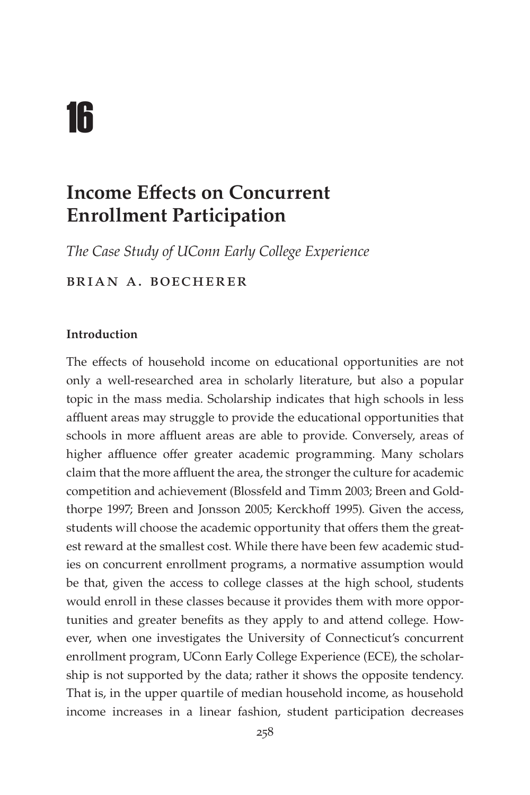# 16

# **Income Effects on Concurrent Enrollment Participation**

*The Case Study of UConn Early College Experience*

Brian A. Boecherer

#### **Introduction**

The effects of household income on educational opportunities are not only a well-researched area in scholarly literature, but also a popular topic in the mass media. Scholarship indicates that high schools in less affluent areas may struggle to provide the educational opportunities that schools in more affluent areas are able to provide. Conversely, areas of higher affluence offer greater academic programming. Many scholars claim that the more affluent the area, the stronger the culture for academic competition and achievement (Blossfeld and Timm 2003; Breen and Goldthorpe 1997; Breen and Jonsson 2005; Kerckhoff 1995). Given the access, students will choose the academic opportunity that offers them the greatest reward at the smallest cost. While there have been few academic studies on concurrent enrollment programs, a normative assumption would be that, given the access to college classes at the high school, students would enroll in these classes because it provides them with more opportunities and greater benefits as they apply to and attend college. However, when one investigates the University of Connecticut's concurrent enrollment program, UConn Early College Experience (ECE), the scholarship is not supported by the data; rather it shows the opposite tendency. That is, in the upper quartile of median household income, as household income increases in a linear fashion, student participation decreases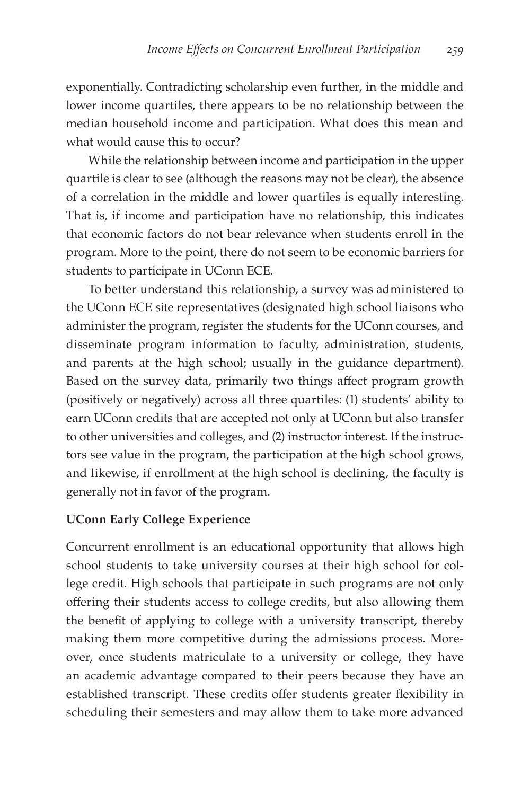exponentially. Contradicting scholarship even further, in the middle and lower income quartiles, there appears to be no relationship between the median household income and participation. What does this mean and what would cause this to occur?

While the relationship between income and participation in the upper quartile is clear to see (although the reasons may not be clear), the absence of a correlation in the middle and lower quartiles is equally interesting. That is, if income and participation have no relationship, this indicates that economic factors do not bear relevance when students enroll in the program. More to the point, there do not seem to be economic barriers for students to participate in UConn ECE.

To better understand this relationship, a survey was administered to the UConn ECE site representatives (designated high school liaisons who administer the program, register the students for the UConn courses, and disseminate program information to faculty, administration, students, and parents at the high school; usually in the guidance department). Based on the survey data, primarily two things affect program growth (positively or negatively) across all three quartiles: (1) students' ability to earn UConn credits that are accepted not only at UConn but also transfer to other universities and colleges, and (2) instructor interest. If the instructors see value in the program, the participation at the high school grows, and likewise, if enrollment at the high school is declining, the faculty is generally not in favor of the program.

#### **UConn Early College Experience**

Concurrent enrollment is an educational opportunity that allows high school students to take university courses at their high school for college credit. High schools that participate in such programs are not only offering their students access to college credits, but also allowing them the benefit of applying to college with a university transcript, thereby making them more competitive during the admissions process. Moreover, once students matriculate to a university or college, they have an academic advantage compared to their peers because they have an established transcript. These credits offer students greater flexibility in scheduling their semesters and may allow them to take more advanced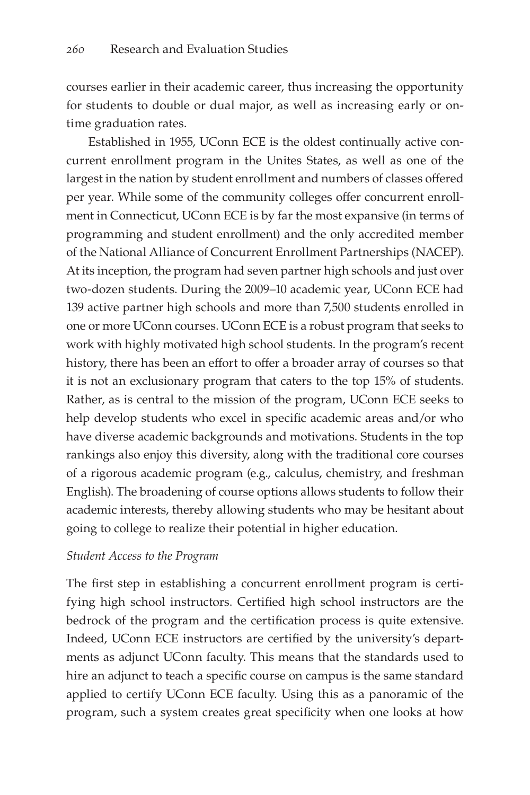courses earlier in their academic career, thus increasing the opportunity for students to double or dual major, as well as increasing early or ontime graduation rates.

Established in 1955, UConn ECE is the oldest continually active concurrent enrollment program in the Unites States, as well as one of the largest in the nation by student enrollment and numbers of classes offered per year. While some of the community colleges offer concurrent enrollment in Connecticut, UConn ECE is by far the most expansive (in terms of programming and student enrollment) and the only accredited member of the National Alliance of Concurrent Enrollment Partnerships (NACEP). At its inception, the program had seven partner high schools and just over two-dozen students. During the 2009–10 academic year, UConn ECE had 139 active partner high schools and more than 7,500 students enrolled in one or more UConn courses. UConn ECE is a robust program that seeks to work with highly motivated high school students. In the program's recent history, there has been an effort to offer a broader array of courses so that it is not an exclusionary program that caters to the top 15% of students. Rather, as is central to the mission of the program, UConn ECE seeks to help develop students who excel in specific academic areas and/or who have diverse academic backgrounds and motivations. Students in the top rankings also enjoy this diversity, along with the traditional core courses of a rigorous academic program (e.g., calculus, chemistry, and freshman English). The broadening of course options allows students to follow their academic interests, thereby allowing students who may be hesitant about going to college to realize their potential in higher education.

#### *Student Access to the Program*

The first step in establishing a concurrent enrollment program is certifying high school instructors. Certified high school instructors are the bedrock of the program and the certification process is quite extensive. Indeed, UConn ECE instructors are certified by the university's departments as adjunct UConn faculty. This means that the standards used to hire an adjunct to teach a specific course on campus is the same standard applied to certify UConn ECE faculty. Using this as a panoramic of the program, such a system creates great specificity when one looks at how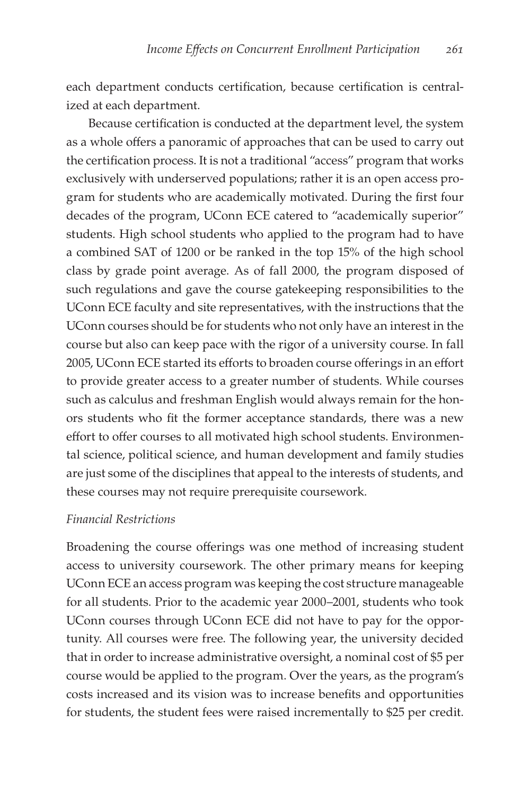each department conducts certification, because certification is centralized at each department.

Because certification is conducted at the department level, the system as a whole offers a panoramic of approaches that can be used to carry out the certification process. It is not a traditional "access" program that works exclusively with underserved populations; rather it is an open access program for students who are academically motivated. During the first four decades of the program, UConn ECE catered to "academically superior" students. High school students who applied to the program had to have a combined SAT of 1200 or be ranked in the top 15% of the high school class by grade point average. As of fall 2000, the program disposed of such regulations and gave the course gatekeeping responsibilities to the UConn ECE faculty and site representatives, with the instructions that the UConn courses should be for students who not only have an interest in the course but also can keep pace with the rigor of a university course. In fall 2005, UConn ECE started its efforts to broaden course offerings in an effort to provide greater access to a greater number of students. While courses such as calculus and freshman English would always remain for the honors students who fit the former acceptance standards, there was a new effort to offer courses to all motivated high school students. Environmental science, political science, and human development and family studies are just some of the disciplines that appeal to the interests of students, and these courses may not require prerequisite coursework.

#### *Financial Restrictions*

Broadening the course offerings was one method of increasing student access to university coursework. The other primary means for keeping UConn ECE an access program was keeping the cost structure manageable for all students. Prior to the academic year 2000–2001, students who took UConn courses through UConn ECE did not have to pay for the opportunity. All courses were free. The following year, the university decided that in order to increase administrative oversight, a nominal cost of \$5 per course would be applied to the program. Over the years, as the program's costs increased and its vision was to increase benefits and opportunities for students, the student fees were raised incrementally to \$25 per credit.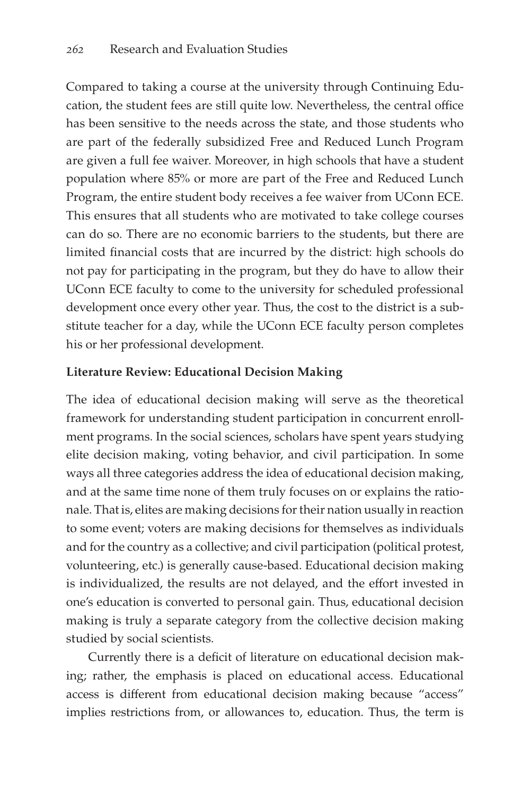Compared to taking a course at the university through Continuing Education, the student fees are still quite low. Nevertheless, the central office has been sensitive to the needs across the state, and those students who are part of the federally subsidized Free and Reduced Lunch Program are given a full fee waiver. Moreover, in high schools that have a student population where 85% or more are part of the Free and Reduced Lunch Program, the entire student body receives a fee waiver from UConn ECE. This ensures that all students who are motivated to take college courses can do so. There are no economic barriers to the students, but there are limited financial costs that are incurred by the district: high schools do not pay for participating in the program, but they do have to allow their UConn ECE faculty to come to the university for scheduled professional development once every other year. Thus, the cost to the district is a substitute teacher for a day, while the UConn ECE faculty person completes his or her professional development.

#### **Literature Review: Educational Decision Making**

The idea of educational decision making will serve as the theoretical framework for understanding student participation in concurrent enrollment programs. In the social sciences, scholars have spent years studying elite decision making, voting behavior, and civil participation. In some ways all three categories address the idea of educational decision making, and at the same time none of them truly focuses on or explains the rationale. That is, elites are making decisions for their nation usually in reaction to some event; voters are making decisions for themselves as individuals and for the country as a collective; and civil participation (political protest, volunteering, etc.) is generally cause-based. Educational decision making is individualized, the results are not delayed, and the effort invested in one's education is converted to personal gain. Thus, educational decision making is truly a separate category from the collective decision making studied by social scientists.

Currently there is a deficit of literature on educational decision making; rather, the emphasis is placed on educational access. Educational access is different from educational decision making because "access" implies restrictions from, or allowances to, education. Thus, the term is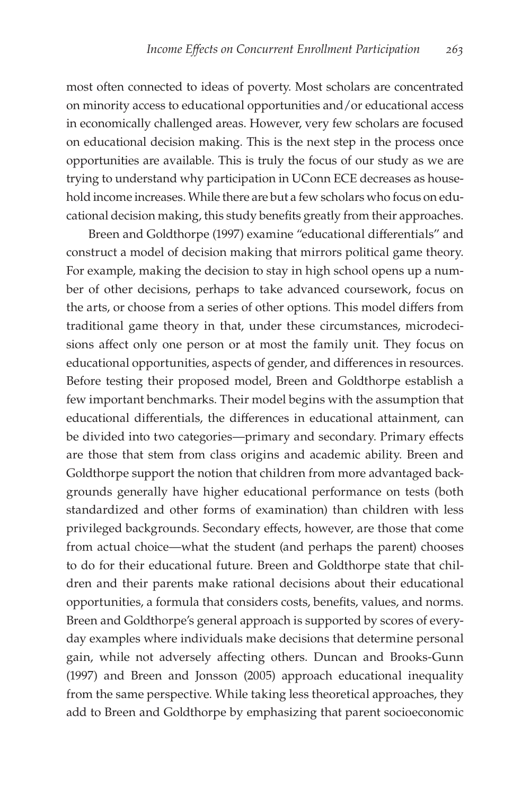most often connected to ideas of poverty. Most scholars are concentrated on minority access to educational opportunities and/or educational access in economically challenged areas. However, very few scholars are focused on educational decision making. This is the next step in the process once opportunities are available. This is truly the focus of our study as we are trying to understand why participation in UConn ECE decreases as household income increases. While there are but a few scholars who focus on educational decision making, this study benefits greatly from their approaches.

Breen and Goldthorpe (1997) examine "educational differentials" and construct a model of decision making that mirrors political game theory. For example, making the decision to stay in high school opens up a number of other decisions, perhaps to take advanced coursework, focus on the arts, or choose from a series of other options. This model differs from traditional game theory in that, under these circumstances, microdecisions affect only one person or at most the family unit. They focus on educational opportunities, aspects of gender, and differences in resources. Before testing their proposed model, Breen and Goldthorpe establish a few important benchmarks. Their model begins with the assumption that educational differentials, the differences in educational attainment, can be divided into two categories—primary and secondary. Primary effects are those that stem from class origins and academic ability. Breen and Goldthorpe support the notion that children from more advantaged backgrounds generally have higher educational performance on tests (both standardized and other forms of examination) than children with less privileged backgrounds. Secondary effects, however, are those that come from actual choice—what the student (and perhaps the parent) chooses to do for their educational future. Breen and Goldthorpe state that children and their parents make rational decisions about their educational opportunities, a formula that considers costs, benefits, values, and norms. Breen and Goldthorpe's general approach is supported by scores of everyday examples where individuals make decisions that determine personal gain, while not adversely affecting others. Duncan and Brooks-Gunn (1997) and Breen and Jonsson (2005) approach educational inequality from the same perspective. While taking less theoretical approaches, they add to Breen and Goldthorpe by emphasizing that parent socioeconomic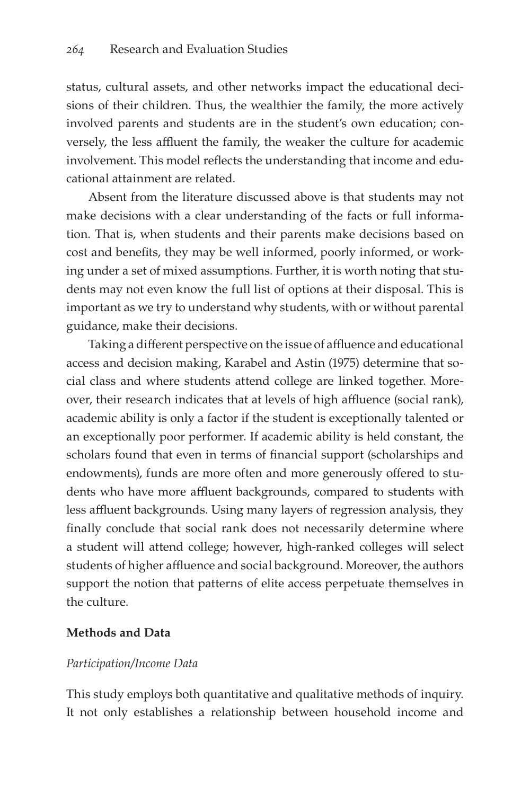status, cultural assets, and other networks impact the educational decisions of their children. Thus, the wealthier the family, the more actively involved parents and students are in the student's own education; conversely, the less affluent the family, the weaker the culture for academic involvement. This model reflects the understanding that income and educational attainment are related.

Absent from the literature discussed above is that students may not make decisions with a clear understanding of the facts or full information. That is, when students and their parents make decisions based on cost and benefits, they may be well informed, poorly informed, or working under a set of mixed assumptions. Further, it is worth noting that students may not even know the full list of options at their disposal. This is important as we try to understand why students, with or without parental guidance, make their decisions.

Taking a different perspective on the issue of affluence and educational access and decision making, Karabel and Astin (1975) determine that social class and where students attend college are linked together. Moreover, their research indicates that at levels of high affluence (social rank), academic ability is only a factor if the student is exceptionally talented or an exceptionally poor performer. If academic ability is held constant, the scholars found that even in terms of financial support (scholarships and endowments), funds are more often and more generously offered to students who have more affluent backgrounds, compared to students with less affluent backgrounds. Using many layers of regression analysis, they finally conclude that social rank does not necessarily determine where a student will attend college; however, high-ranked colleges will select students of higher affluence and social background. Moreover, the authors support the notion that patterns of elite access perpetuate themselves in the culture.

#### **Methods and Data**

#### *Participation/Income Data*

This study employs both quantitative and qualitative methods of inquiry. It not only establishes a relationship between household income and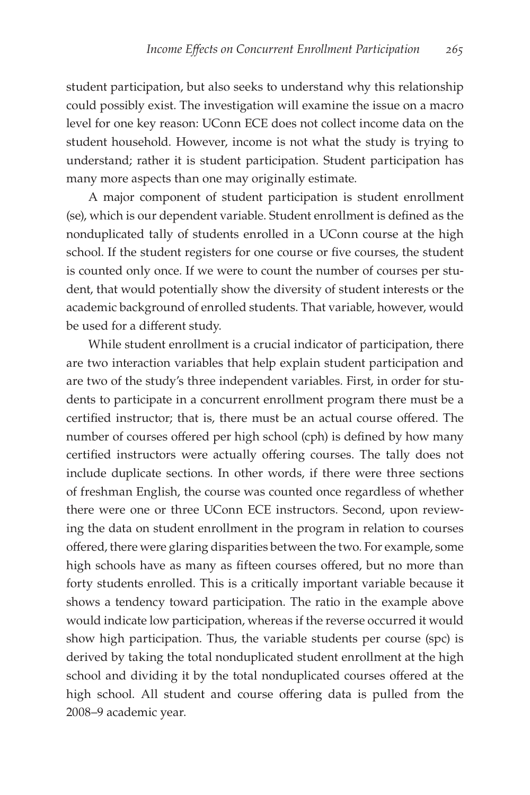student participation, but also seeks to understand why this relationship could possibly exist. The investigation will examine the issue on a macro level for one key reason: UConn ECE does not collect income data on the student household. However, income is not what the study is trying to understand; rather it is student participation. Student participation has many more aspects than one may originally estimate.

A major component of student participation is student enrollment (se), which is our dependent variable. Student enrollment is defined as the nonduplicated tally of students enrolled in a UConn course at the high school. If the student registers for one course or five courses, the student is counted only once. If we were to count the number of courses per student, that would potentially show the diversity of student interests or the academic background of enrolled students. That variable, however, would be used for a different study.

While student enrollment is a crucial indicator of participation, there are two interaction variables that help explain student participation and are two of the study's three independent variables. First, in order for students to participate in a concurrent enrollment program there must be a certified instructor; that is, there must be an actual course offered. The number of courses offered per high school (cph) is defined by how many certified instructors were actually offering courses. The tally does not include duplicate sections. In other words, if there were three sections of freshman English, the course was counted once regardless of whether there were one or three UConn ECE instructors. Second, upon reviewing the data on student enrollment in the program in relation to courses offered, there were glaring disparities between the two. For example, some high schools have as many as fifteen courses offered, but no more than forty students enrolled. This is a critically important variable because it shows a tendency toward participation. The ratio in the example above would indicate low participation, whereas if the reverse occurred it would show high participation. Thus, the variable students per course (spc) is derived by taking the total nonduplicated student enrollment at the high school and dividing it by the total nonduplicated courses offered at the high school. All student and course offering data is pulled from the 2008–9 academic year.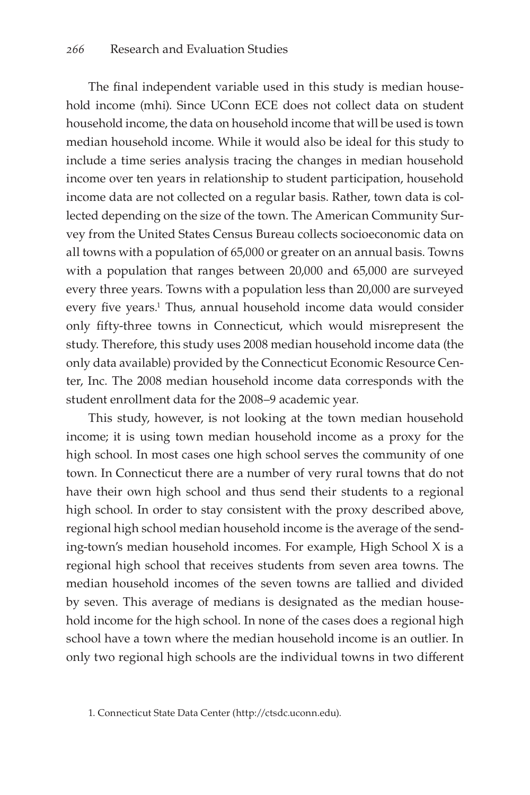The final independent variable used in this study is median household income (mhi). Since UConn ECE does not collect data on student household income, the data on household income that will be used is town median household income. While it would also be ideal for this study to include a time series analysis tracing the changes in median household income over ten years in relationship to student participation, household income data are not collected on a regular basis. Rather, town data is collected depending on the size of the town. The American Community Survey from the United States Census Bureau collects socioeconomic data on all towns with a population of 65,000 or greater on an annual basis. Towns with a population that ranges between 20,000 and 65,000 are surveyed every three years. Towns with a population less than 20,000 are surveyed every five years.<sup>1</sup> Thus, annual household income data would consider only fifty-three towns in Connecticut, which would misrepresent the study. Therefore, this study uses 2008 median household income data (the only data available) provided by the Connecticut Economic Resource Center, Inc. The 2008 median household income data corresponds with the student enrollment data for the 2008–9 academic year.

This study, however, is not looking at the town median household income; it is using town median household income as a proxy for the high school. In most cases one high school serves the community of one town. In Connecticut there are a number of very rural towns that do not have their own high school and thus send their students to a regional high school. In order to stay consistent with the proxy described above, regional high school median household income is the average of the sending-town's median household incomes. For example, High School X is a regional high school that receives students from seven area towns. The median household incomes of the seven towns are tallied and divided by seven. This average of medians is designated as the median household income for the high school. In none of the cases does a regional high school have a town where the median household income is an outlier. In only two regional high schools are the individual towns in two different

<sup>1.</sup> Connecticut State Data Center (http://ctsdc.uconn.edu).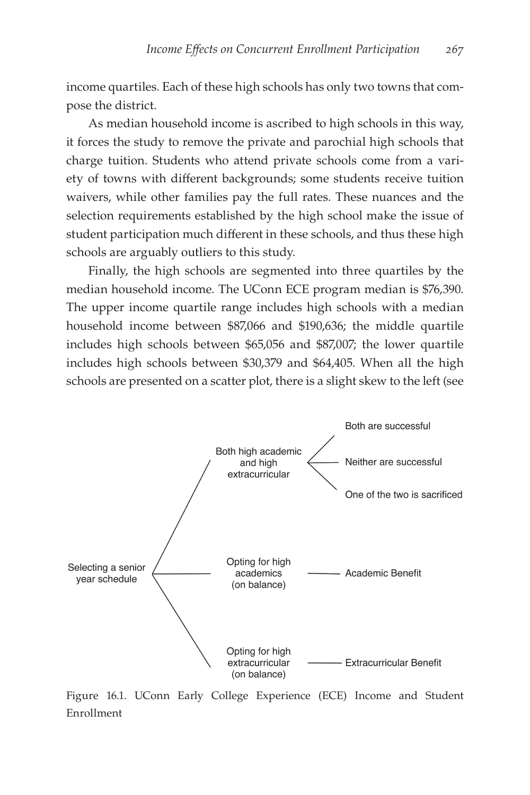income quartiles. Each of these high schools has only two towns that compose the district.

As median household income is ascribed to high schools in this way, it forces the study to remove the private and parochial high schools that charge tuition. Students who attend private schools come from a variety of towns with different backgrounds; some students receive tuition waivers, while other families pay the full rates. These nuances and the selection requirements established by the high school make the issue of student participation much different in these schools, and thus these high schools are arguably outliers to this study.

Finally, the high schools are segmented into three quartiles by the median household income. The UConn ECE program median is \$76,390. The upper income quartile range includes high schools with a median household income between \$87,066 and \$190,636; the middle quartile includes high schools between \$65,056 and \$87,007; the lower quartile includes high schools between \$30,379 and \$64,405. When all the high schools are presented on a scatter plot, there is a slight skew to the left (see



Figure 16.1. UConn Early College Experience (ECE) Income and Student Enrollment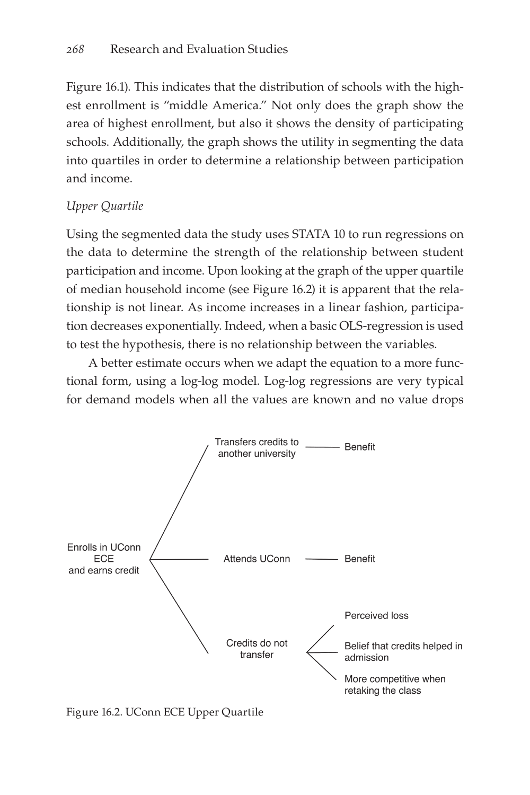Figure 16.1). This indicates that the distribution of schools with the highest enrollment is "middle America." Not only does the graph show the area of highest enrollment, but also it shows the density of participating schools. Additionally, the graph shows the utility in segmenting the data into quartiles in order to determine a relationship between participation and income.

# *Upper Quartile*

Using the segmented data the study uses STATA 10 to run regressions on the data to determine the strength of the relationship between student participation and income. Upon looking at the graph of the upper quartile of median household income (see Figure 16.2) it is apparent that the relationship is not linear. As income increases in a linear fashion, participation decreases exponentially. Indeed, when a basic OLS-regression is used to test the hypothesis, there is no relationship between the variables.

A better estimate occurs when we adapt the equation to a more functional form, using a log-log model. Log-log regressions are very typical for demand models when all the values are known and no value drops



Figure 16.2. UConn ECE Upper Quartile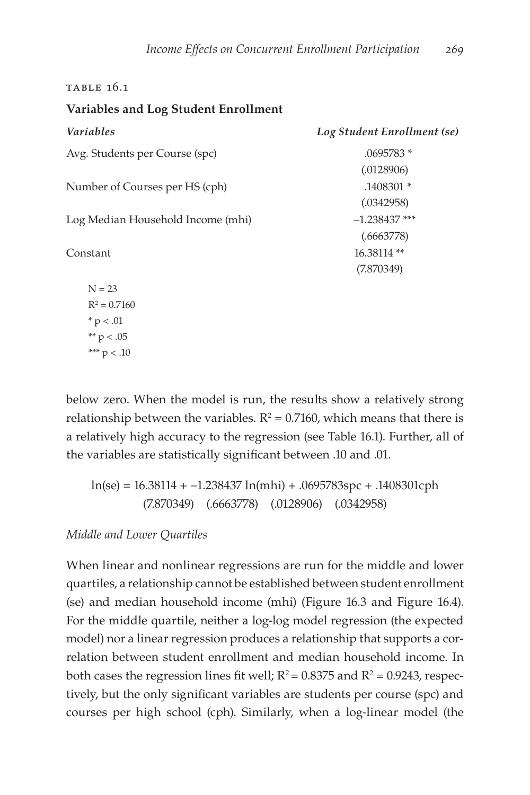#### Table 16.1

#### **Variables and Log Student Enrollment**

| <i>Variables</i>                  | Log Student Enrollment (se) |
|-----------------------------------|-----------------------------|
| Avg. Students per Course (spc)    | .0695783 *                  |
|                                   | (.0128906)                  |
| Number of Courses per HS (cph)    | .1408301 *                  |
|                                   | (.0342958)                  |
| Log Median Household Income (mhi) | $-1.238437$ ***             |
|                                   | (.6663778)                  |
| Constant                          | 16.38114**                  |
|                                   | (7.870349)                  |
| $N = 23$                          |                             |
| $R^2 = 0.7160$                    |                             |
| $* p < .01$                       |                             |
| ** $p < .05$                      |                             |
| *** $p < .10$                     |                             |

below zero. When the model is run, the results show a relatively strong relationship between the variables.  $R^2 = 0.7160$ , which means that there is a relatively high accuracy to the regression (see Table 16.1). Further, all of the variables are statistically significant between .10 and .01.

ln(se) = 16.38114 + −1.238437 ln(mhi) + .0695783spc + .1408301cph (7.870349) (.6663778) (.0128906) (.0342958)

*Middle and Lower Quartiles*

When linear and nonlinear regressions are run for the middle and lower quartiles, a relationship cannot be established between student enrollment (se) and median household income (mhi) (Figure 16.3 and Figure 16.4). For the middle quartile, neither a log-log model regression (the expected model) nor a linear regression produces a relationship that supports a correlation between student enrollment and median household income. In both cases the regression lines fit well;  $R^2$  = 0.8375 and  $R^2$  = 0.9243, respectively, but the only significant variables are students per course (spc) and courses per high school (cph). Similarly, when a log-linear model (the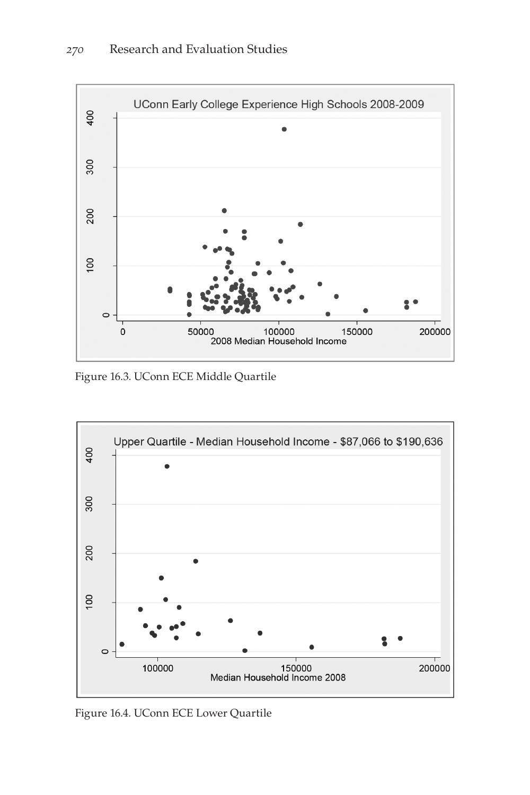

Figure 16.3. UConn ECE Middle Quartile



Figure 16.4. UConn ECE Lower Quartile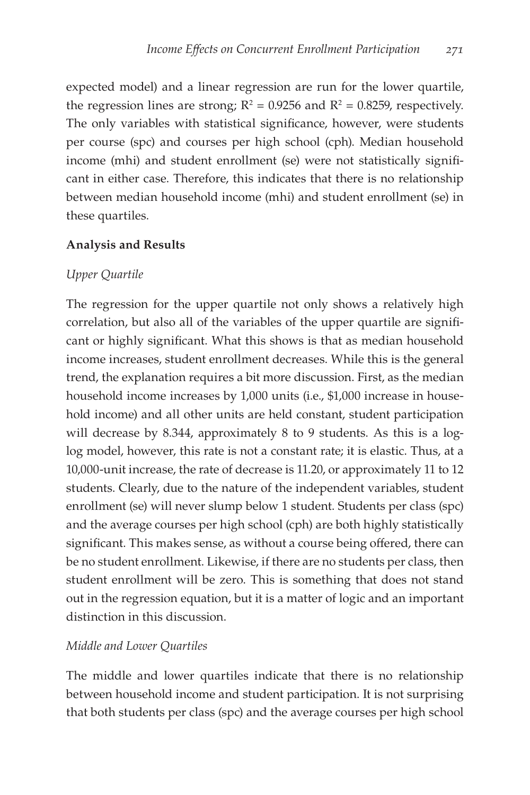expected model) and a linear regression are run for the lower quartile, the regression lines are strong;  $R^2 = 0.9256$  and  $R^2 = 0.8259$ , respectively. The only variables with statistical significance, however, were students per course (spc) and courses per high school (cph). Median household income (mhi) and student enrollment (se) were not statistically significant in either case. Therefore, this indicates that there is no relationship between median household income (mhi) and student enrollment (se) in these quartiles.

#### **Analysis and Results**

#### *Upper Quartile*

The regression for the upper quartile not only shows a relatively high correlation, but also all of the variables of the upper quartile are significant or highly significant. What this shows is that as median household income increases, student enrollment decreases. While this is the general trend, the explanation requires a bit more discussion. First, as the median household income increases by 1,000 units (i.e., \$1,000 increase in household income) and all other units are held constant, student participation will decrease by 8.344, approximately 8 to 9 students. As this is a loglog model, however, this rate is not a constant rate; it is elastic. Thus, at a 10,000-unit increase, the rate of decrease is 11.20, or approximately 11 to 12 students. Clearly, due to the nature of the independent variables, student enrollment (se) will never slump below 1 student. Students per class (spc) and the average courses per high school (cph) are both highly statistically significant. This makes sense, as without a course being offered, there can be no student enrollment. Likewise, if there are no students per class, then student enrollment will be zero. This is something that does not stand out in the regression equation, but it is a matter of logic and an important distinction in this discussion.

#### *Middle and Lower Quartiles*

The middle and lower quartiles indicate that there is no relationship between household income and student participation. It is not surprising that both students per class (spc) and the average courses per high school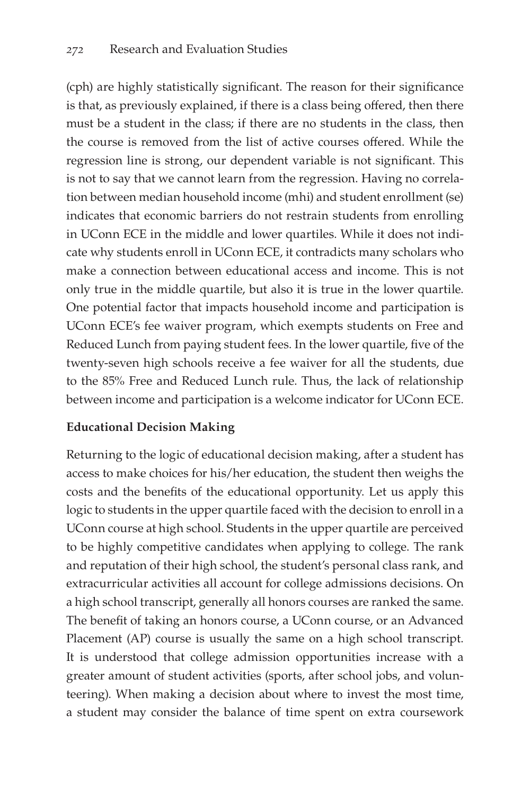(cph) are highly statistically significant. The reason for their significance is that, as previously explained, if there is a class being offered, then there must be a student in the class; if there are no students in the class, then the course is removed from the list of active courses offered. While the regression line is strong, our dependent variable is not significant. This is not to say that we cannot learn from the regression. Having no correlation between median household income (mhi) and student enrollment (se) indicates that economic barriers do not restrain students from enrolling in UConn ECE in the middle and lower quartiles. While it does not indicate why students enroll in UConn ECE, it contradicts many scholars who make a connection between educational access and income. This is not only true in the middle quartile, but also it is true in the lower quartile. One potential factor that impacts household income and participation is UConn ECE's fee waiver program, which exempts students on Free and Reduced Lunch from paying student fees. In the lower quartile, five of the twenty-seven high schools receive a fee waiver for all the students, due to the 85% Free and Reduced Lunch rule. Thus, the lack of relationship between income and participation is a welcome indicator for UConn ECE.

## **Educational Decision Making**

Returning to the logic of educational decision making, after a student has access to make choices for his/her education, the student then weighs the costs and the benefits of the educational opportunity. Let us apply this logic to students in the upper quartile faced with the decision to enroll in a UConn course at high school. Students in the upper quartile are perceived to be highly competitive candidates when applying to college. The rank and reputation of their high school, the student's personal class rank, and extracurricular activities all account for college admissions decisions. On a high school transcript, generally all honors courses are ranked the same. The benefit of taking an honors course, a UConn course, or an Advanced Placement (AP) course is usually the same on a high school transcript. It is understood that college admission opportunities increase with a greater amount of student activities (sports, after school jobs, and volunteering). When making a decision about where to invest the most time, a student may consider the balance of time spent on extra coursework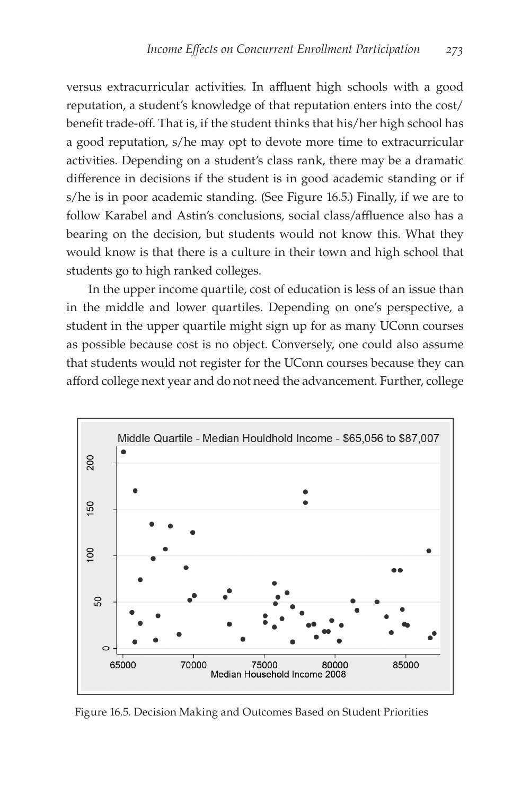versus extracurricular activities. In affluent high schools with a good reputation, a student's knowledge of that reputation enters into the cost/ benefit trade-off. That is, if the student thinks that his/her high school has a good reputation, s/he may opt to devote more time to extracurricular activities. Depending on a student's class rank, there may be a dramatic difference in decisions if the student is in good academic standing or if s/he is in poor academic standing. (See Figure 16.5.) Finally, if we are to follow Karabel and Astin's conclusions, social class/affluence also has a bearing on the decision, but students would not know this. What they would know is that there is a culture in their town and high school that students go to high ranked colleges.

In the upper income quartile, cost of education is less of an issue than in the middle and lower quartiles. Depending on one's perspective, a student in the upper quartile might sign up for as many UConn courses as possible because cost is no object. Conversely, one could also assume that students would not register for the UConn courses because they can afford college next year and do not need the advancement. Further, college



Figure 16.5. Decision Making and Outcomes Based on Student Priorities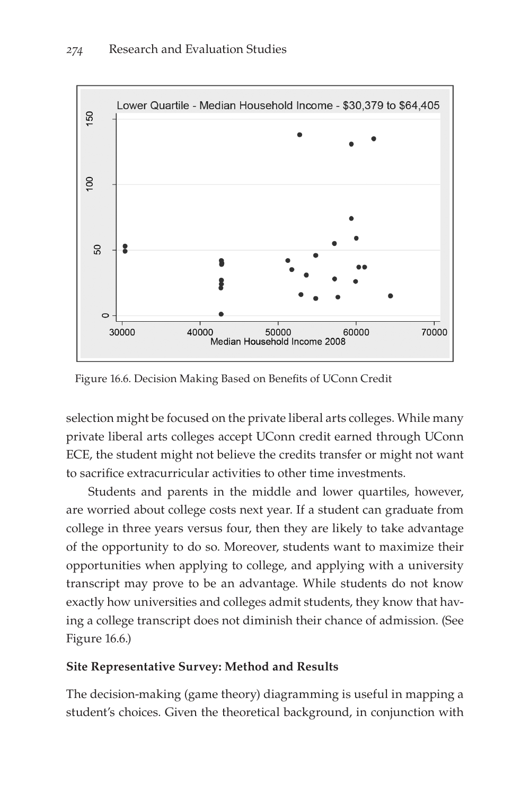

Figure 16.6. Decision Making Based on Benefits of UConn Credit

selection might be focused on the private liberal arts colleges. While many private liberal arts colleges accept UConn credit earned through UConn ECE, the student might not believe the credits transfer or might not want to sacrifice extracurricular activities to other time investments.

Students and parents in the middle and lower quartiles, however, are worried about college costs next year. If a student can graduate from college in three years versus four, then they are likely to take advantage of the opportunity to do so. Moreover, students want to maximize their opportunities when applying to college, and applying with a university transcript may prove to be an advantage. While students do not know exactly how universities and colleges admit students, they know that having a college transcript does not diminish their chance of admission. (See Figure 16.6.)

## **Site Representative Survey: Method and Results**

The decision-making (game theory) diagramming is useful in mapping a student's choices. Given the theoretical background, in conjunction with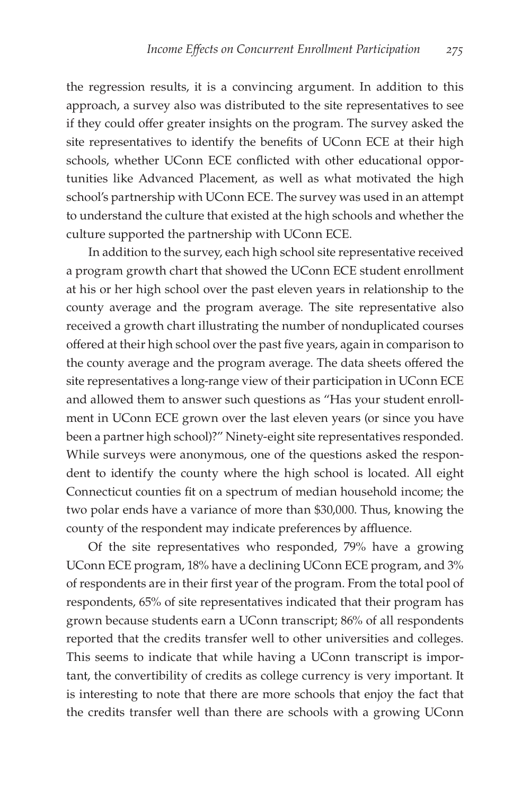the regression results, it is a convincing argument. In addition to this approach, a survey also was distributed to the site representatives to see if they could offer greater insights on the program. The survey asked the site representatives to identify the benefits of UConn ECE at their high schools, whether UConn ECE conflicted with other educational opportunities like Advanced Placement, as well as what motivated the high school's partnership with UConn ECE. The survey was used in an attempt to understand the culture that existed at the high schools and whether the culture supported the partnership with UConn ECE.

In addition to the survey, each high school site representative received a program growth chart that showed the UConn ECE student enrollment at his or her high school over the past eleven years in relationship to the county average and the program average. The site representative also received a growth chart illustrating the number of nonduplicated courses offered at their high school over the past five years, again in comparison to the county average and the program average. The data sheets offered the site representatives a long-range view of their participation in UConn ECE and allowed them to answer such questions as "Has your student enrollment in UConn ECE grown over the last eleven years (or since you have been a partner high school)?" Ninety-eight site representatives responded. While surveys were anonymous, one of the questions asked the respondent to identify the county where the high school is located. All eight Connecticut counties fit on a spectrum of median household income; the two polar ends have a variance of more than \$30,000. Thus, knowing the county of the respondent may indicate preferences by affluence.

Of the site representatives who responded, 79% have a growing UConn ECE program, 18% have a declining UConn ECE program, and 3% of respondents are in their first year of the program. From the total pool of respondents, 65% of site representatives indicated that their program has grown because students earn a UConn transcript; 86% of all respondents reported that the credits transfer well to other universities and colleges. This seems to indicate that while having a UConn transcript is important, the convertibility of credits as college currency is very important. It is interesting to note that there are more schools that enjoy the fact that the credits transfer well than there are schools with a growing UConn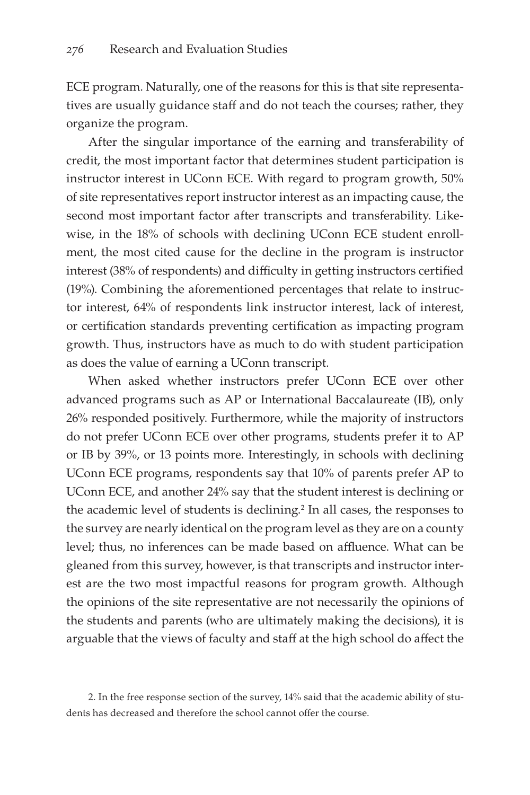ECE program. Naturally, one of the reasons for this is that site representatives are usually guidance staff and do not teach the courses; rather, they organize the program.

After the singular importance of the earning and transferability of credit, the most important factor that determines student participation is instructor interest in UConn ECE. With regard to program growth, 50% of site representatives report instructor interest as an impacting cause, the second most important factor after transcripts and transferability. Likewise, in the 18% of schools with declining UConn ECE student enrollment, the most cited cause for the decline in the program is instructor interest (38% of respondents) and difficulty in getting instructors certified (19%). Combining the aforementioned percentages that relate to instructor interest, 64% of respondents link instructor interest, lack of interest, or certification standards preventing certification as impacting program growth. Thus, instructors have as much to do with student participation as does the value of earning a UConn transcript.

When asked whether instructors prefer UConn ECE over other advanced programs such as AP or International Baccalaureate (IB), only 26% responded positively. Furthermore, while the majority of instructors do not prefer UConn ECE over other programs, students prefer it to AP or IB by 39%, or 13 points more. Interestingly, in schools with declining UConn ECE programs, respondents say that 10% of parents prefer AP to UConn ECE, and another 24% say that the student interest is declining or the academic level of students is declining.<sup>2</sup> In all cases, the responses to the survey are nearly identical on the program level as they are on a county level; thus, no inferences can be made based on affluence. What can be gleaned from this survey, however, is that transcripts and instructor interest are the two most impactful reasons for program growth. Although the opinions of the site representative are not necessarily the opinions of the students and parents (who are ultimately making the decisions), it is arguable that the views of faculty and staff at the high school do affect the

<sup>2.</sup> In the free response section of the survey, 14% said that the academic ability of students has decreased and therefore the school cannot offer the course.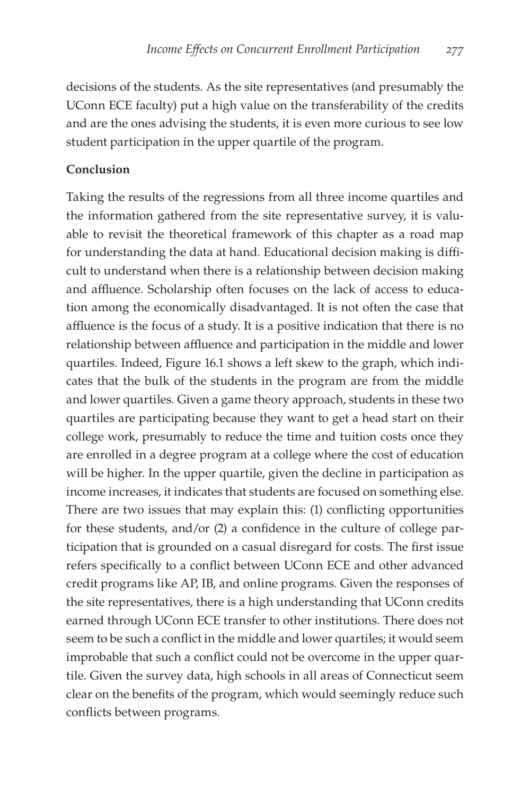decisions of the students. As the site representatives (and presumably the UConn ECE faculty) put a high value on the transferability of the credits and are the ones advising the students, it is even more curious to see low student participation in the upper quartile of the program.

#### **Conclusion**

Taking the results of the regressions from all three income quartiles and the information gathered from the site representative survey, it is valuable to revisit the theoretical framework of this chapter as a road map for understanding the data at hand. Educational decision making is difficult to understand when there is a relationship between decision making and affluence. Scholarship often focuses on the lack of access to education among the economically disadvantaged. It is not often the case that affluence is the focus of a study. It is a positive indication that there is no relationship between affluence and participation in the middle and lower quartiles. Indeed, Figure 16.1 shows a left skew to the graph, which indicates that the bulk of the students in the program are from the middle and lower quartiles. Given a game theory approach, students in these two quartiles are participating because they want to get a head start on their college work, presumably to reduce the time and tuition costs once they are enrolled in a degree program at a college where the cost of education will be higher. In the upper quartile, given the decline in participation as income increases, it indicates that students are focused on something else. There are two issues that may explain this: (1) conflicting opportunities for these students, and/or (2) a confidence in the culture of college participation that is grounded on a casual disregard for costs. The first issue refers specifically to a conflict between UConn ECE and other advanced credit programs like AP, IB, and online programs. Given the responses of the site representatives, there is a high understanding that UConn credits earned through UConn ECE transfer to other institutions. There does not seem to be such a conflict in the middle and lower quartiles; it would seem improbable that such a conflict could not be overcome in the upper quartile. Given the survey data, high schools in all areas of Connecticut seem clear on the benefits of the program, which would seemingly reduce such conflicts between programs.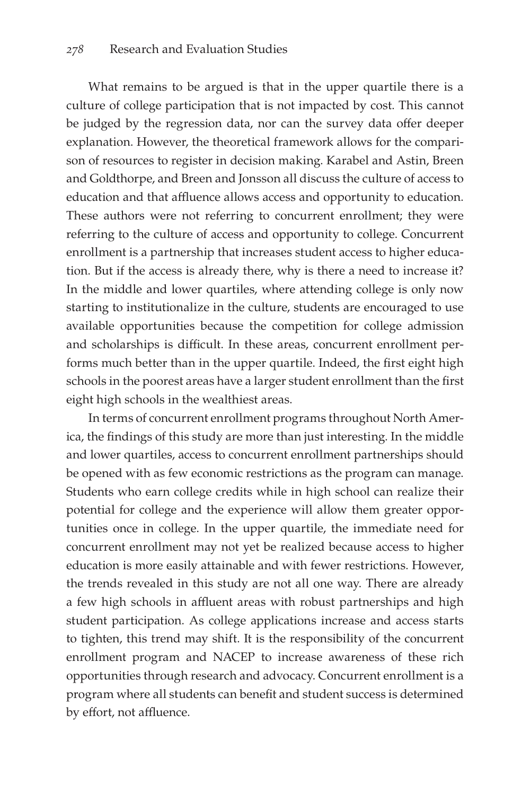What remains to be argued is that in the upper quartile there is a culture of college participation that is not impacted by cost. This cannot be judged by the regression data, nor can the survey data offer deeper explanation. However, the theoretical framework allows for the comparison of resources to register in decision making. Karabel and Astin, Breen and Goldthorpe, and Breen and Jonsson all discuss the culture of access to education and that affluence allows access and opportunity to education. These authors were not referring to concurrent enrollment; they were referring to the culture of access and opportunity to college. Concurrent enrollment is a partnership that increases student access to higher education. But if the access is already there, why is there a need to increase it? In the middle and lower quartiles, where attending college is only now starting to institutionalize in the culture, students are encouraged to use available opportunities because the competition for college admission and scholarships is difficult. In these areas, concurrent enrollment performs much better than in the upper quartile. Indeed, the first eight high schools in the poorest areas have a larger student enrollment than the first eight high schools in the wealthiest areas.

In terms of concurrent enrollment programs throughout North America, the findings of this study are more than just interesting. In the middle and lower quartiles, access to concurrent enrollment partnerships should be opened with as few economic restrictions as the program can manage. Students who earn college credits while in high school can realize their potential for college and the experience will allow them greater opportunities once in college. In the upper quartile, the immediate need for concurrent enrollment may not yet be realized because access to higher education is more easily attainable and with fewer restrictions. However, the trends revealed in this study are not all one way. There are already a few high schools in affluent areas with robust partnerships and high student participation. As college applications increase and access starts to tighten, this trend may shift. It is the responsibility of the concurrent enrollment program and NACEP to increase awareness of these rich opportunities through research and advocacy. Concurrent enrollment is a program where all students can benefit and student success is determined by effort, not affluence.